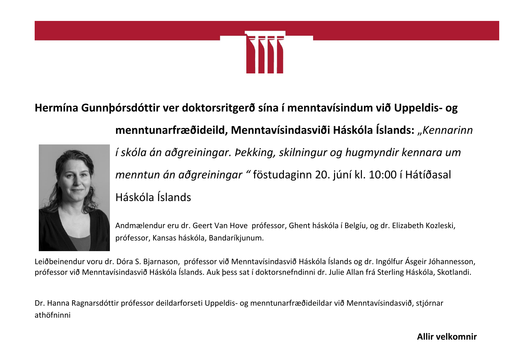

## **Hermína Gunnþórsdóttir ver doktorsritgerð sína í menntavísindum við Uppeldis- og**



*í skóla án aðgreiningar. Þekking, skilningur og hugmyndir kennara um menntun án aðgreiningar "* föstudaginn 20. júní kl. 10:00 í Hátíðasal Háskóla Íslands

**menntunarfræðideild, Menntavísindasviði Háskóla Íslands:** "*Kennarinn* 

Andmælendur eru dr. Geert Van Hove prófessor, Ghent háskóla í Belgíu, og dr. Elizabeth Kozleski, prófessor, Kansas háskóla, Bandaríkjunum.

Leiðbeinendur voru dr. Dóra S. Bjarnason, prófessor við Menntavísindasvið Háskóla Íslands og dr. Ingólfur Ásgeir Jóhannesson, prófessor við Menntavísindasvið Háskóla Íslands. Auk þess sat í doktorsnefndinni dr. Julie Allan frá Sterling Háskóla, Skotlandi.

Dr. Hanna Ragnarsdóttir prófessor deildarforseti Uppeldis- og menntunarfræðideildar við Menntavísindasvið, stjórnar athöfninni

**Allir velkomnir**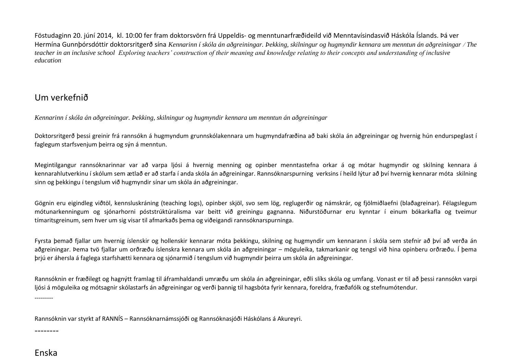Föstudaginn 20. júní 2014, kl. 10:00 fer fram doktorsvörn frá Uppeldis- og menntunarfræðideild við Menntavísindasvið Háskóla Íslands. Þá ver Hermína Gunnþórsdóttir doktorsritgerð sína *Kennarinn í skóla án aðgreiningar. Þekking, skilningur og hugmyndir kennara um menntun án aðgreiningar The teacher in an inclusive school Exploring teachers' construction of their meaning and knowledge relating to their concepts and understanding of inclusive education*

## Um verkefnið

*Kennarinn í skóla án aðgreiningar. Þekking, skilningur og hugmyndir kennara um menntun án aðgreiningar*

Doktorsritgerð þessi greinir frá rannsókn á hugmyndum grunnskólakennara um hugmyndafræðina að baki skóla án aðgreiningar og hvernig hún endurspeglast í faglegum starfsvenjum þeirra og sýn á menntun.

Megintilgangur rannsóknarinnar var að varpa ljósi á hvernig menning og opinber menntastefna orkar á og mótar hugmyndir og skilning kennara á kennarahlutverkinu í skólum sem ætlað er að starfa í anda skóla án aðgreiningar. Rannsóknarspurning verksins í heild lýtur að því hvernig kennarar móta skilning sinn og þekkingu í tengslum við hugmyndir sínar um skóla án aðgreiningar.

Gögnin eru eigindleg viðtöl, kennsluskráning (teaching logs), opinber skjöl, svo sem lög, reglugerðir og námskrár, og fjölmiðlaefni (blaðagreinar). Félagslegum mótunarkenningum og sjónarhorni póststrúktúralisma var beitt við greiningu gagnanna. Niðurstöðurnar eru kynntar í einum bókarkafla og tveimur tímaritsgreinum, sem hver um sig visar til afmarkaðs þema og viðeigandi rannsóknarspurninga.

Fyrsta þemað fjallar um hvernig íslenskir og hollenskir kennarar móta þekkingu, skilning og hugmyndir um kennarann í skóla sem stefnir að því að verða án aðgreiningar. Þema tvö fjallar um orðræðu íslenskra kennara um skóla án aðgreiningar – möguleika, takmarkanir og tengsl við hina opinberu orðræðu. Í þema þrjú er áhersla á faglega starfshætti kennara og sjónarmið í tengslum við hugmyndir þeirra um skóla án aðgreiningar.

Rannsóknin er fræðilegt og hagnýtt framlag til áframhaldandi umræðu um skóla án aðgreiningar, eðli slíks skóla og umfang. Vonast er til að þessi rannsókn varpi ljósi á möguleika og mótsagnir skólastarfs án aðgreiningar og verði þannig til hagsbóta fyrir kennara, foreldra, fræðafólk og stefnumótendur.

Rannsóknin var styrkt af RANNÍS – Rannsóknarnámssjóði og Rannsóknasjóði Háskólans á Akureyri.

Enska

--------

---------